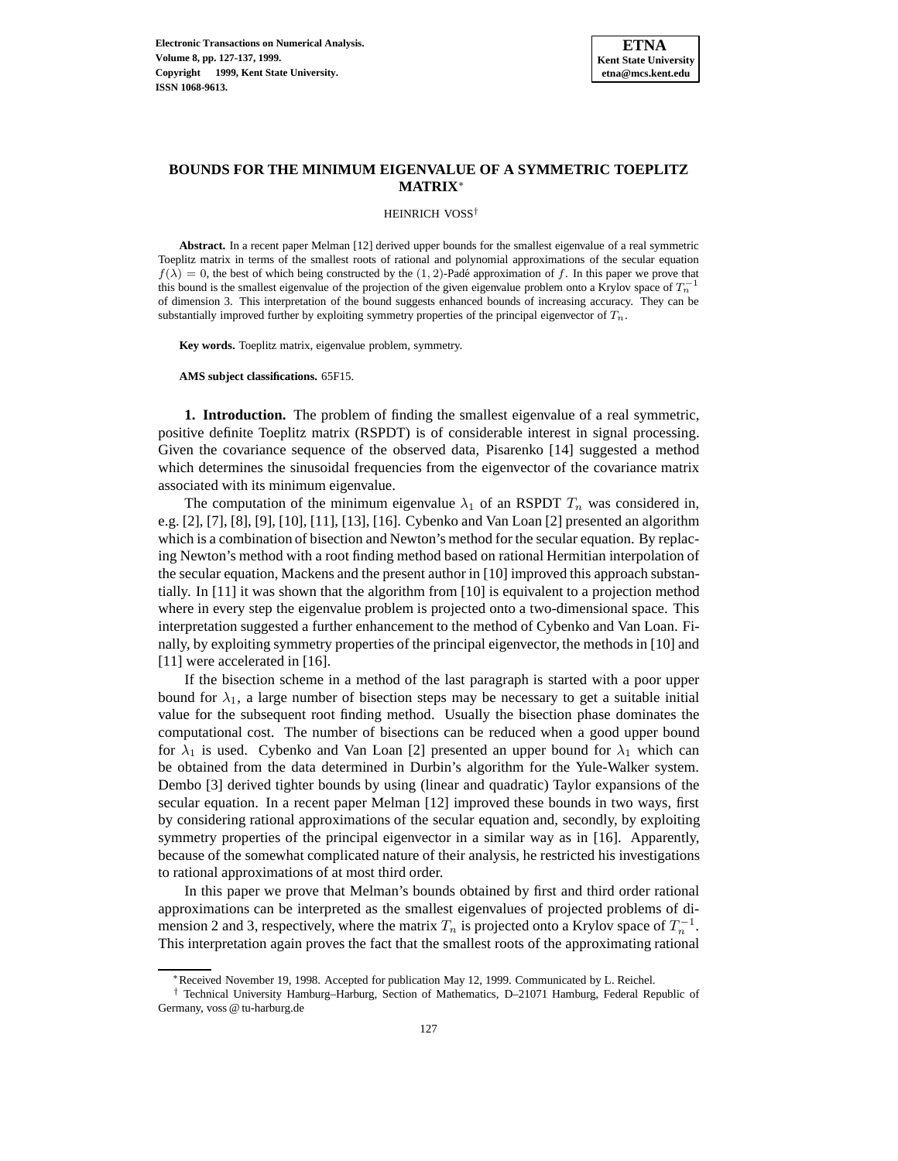

# **BOUNDS FOR THE MINIMUM EIGENVALUE OF A SYMMETRIC TOEPLITZ MATRIX**<sup>∗</sup>

HEINRICH VOSS†

**Abstract.** In a recent paper Melman [12] derived upper bounds for the smallest eigenvalue of a real symmetric Toeplitz matrix in terms of the smallest roots of rational and polynomial approximations of the secular equation  $f(\lambda)=0$ , the best of which being constructed by the (1, 2)-Padé approximation of f. In this paper we prove that this bound is the smallest eigenvalue of the projection of the given eigenvalue problem onto a Krylov space of  $T_n^$ of dimension 3. This interpretation of the bound suggests enhanced bounds of increasing accuracy. They can be substantially improved further by exploiting symmetry properties of the principal eigenvector of  $T_n$ .

**Key words.** Toeplitz matrix, eigenvalue problem, symmetry.

**AMS subject classifications.** 65F15.

**1. Introduction.** The problem of finding the smallest eigenvalue of a real symmetric, positive definite Toeplitz matrix (RSPDT) is of considerable interest in signal processing. Given the covariance sequence of the observed data, Pisarenko [14] suggested a method which determines the sinusoidal frequencies from the eigenvector of the covariance matrix associated with its minimum eigenvalue.

The computation of the minimum eigenvalue  $\lambda_1$  of an RSPDT  $T_n$  was considered in, e.g. [2], [7], [8], [9], [10], [11], [13], [16]. Cybenko and Van Loan [2] presented an algorithm which is a combination of bisection and Newton's method for the secular equation. By replacing Newton's method with a root finding method based on rational Hermitian interpolation of the secular equation, Mackens and the present author in [10] improved this approach substantially. In [11] it was shown that the algorithm from [10] is equivalent to a projection method where in every step the eigenvalue problem is projected onto a two-dimensional space. This interpretation suggested a further enhancement to the method of Cybenko and Van Loan. Finally, by exploiting symmetry properties of the principal eigenvector, the methods in [10] and [11] were accelerated in [16].

If the bisection scheme in a method of the last paragraph is started with a poor upper bound for  $\lambda_1$ , a large number of bisection steps may be necessary to get a suitable initial value for the subsequent root finding method. Usually the bisection phase dominates the computational cost. The number of bisections can be reduced when a good upper bound for  $\lambda_1$  is used. Cybenko and Van Loan [2] presented an upper bound for  $\lambda_1$  which can be obtained from the data determined in Durbin's algorithm for the Yule-Walker system. Dembo [3] derived tighter bounds by using (linear and quadratic) Taylor expansions of the secular equation. In a recent paper Melman [12] improved these bounds in two ways, first by considering rational approximations of the secular equation and, secondly, by exploiting symmetry properties of the principal eigenvector in a similar way as in [16]. Apparently, because of the somewhat complicated nature of their analysis, he restricted his investigations to rational approximations of at most third order.

In this paper we prove that Melman's bounds obtained by first and third order rational approximations can be interpreted as the smallest eigenvalues of projected problems of dimension 2 and 3, respectively, where the matrix  $T_n$  is projected onto a Krylov space of  $T_n^{-1}$ . This interpretation again proves the fact that the smallest roots of the approximating rational

<sup>∗</sup>Received November 19, 1998. Accepted for publication May 12, 1999. Communicated by L. Reichel.

<sup>†</sup> Technical University Hamburg–Harburg, Section of Mathematics, D–21071 Hamburg, Federal Republic of Germany, voss @ tu-harburg.de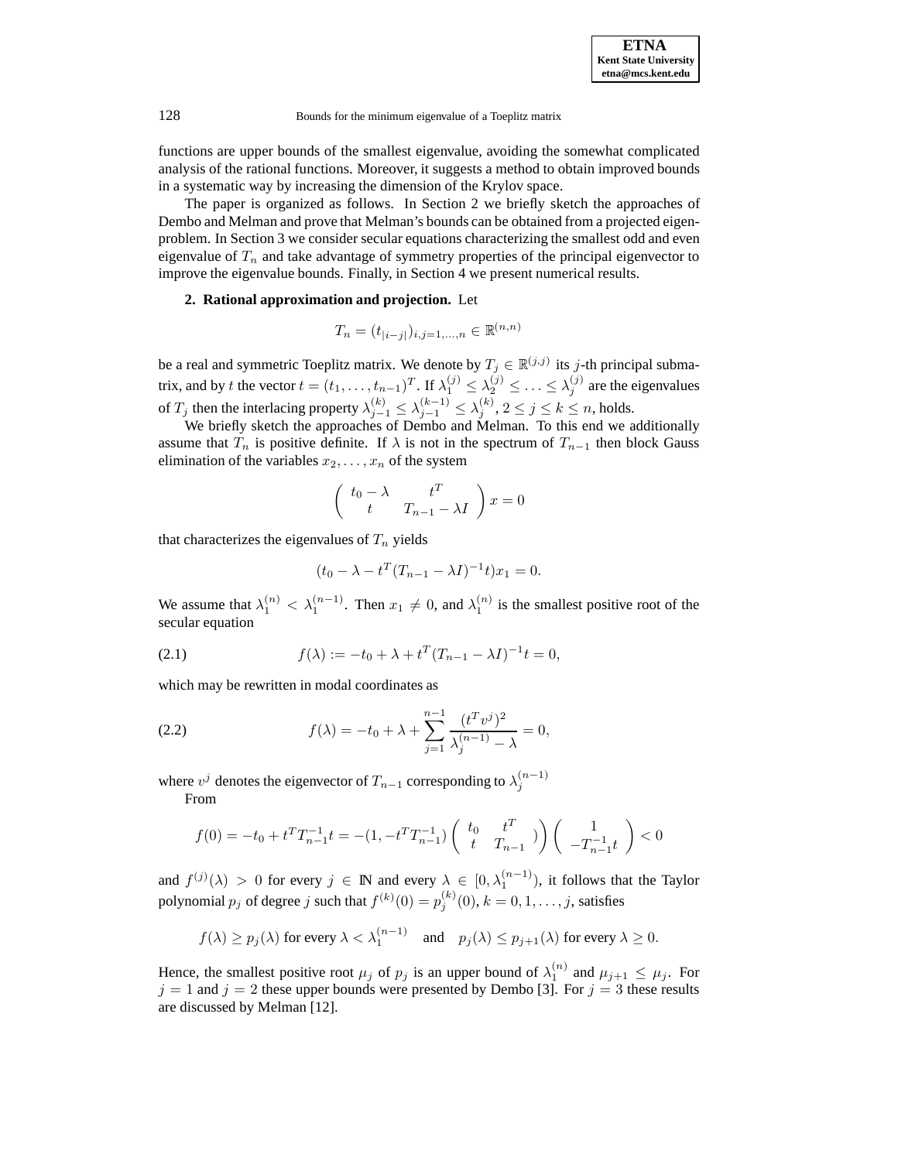functions are upper bounds of the smallest eigenvalue, avoiding the somewhat complicated analysis of the rational functions. Moreover, it suggests a method to obtain improved bounds in a systematic way by increasing the dimension of the Krylov space.

The paper is organized as follows. In Section 2 we briefly sketch the approaches of Dembo and Melman and prove that Melman's bounds can be obtained from a projected eigenproblem. In Section 3 we consider secular equations characterizing the smallest odd and even eigenvalue of  $T_n$  and take advantage of symmetry properties of the principal eigenvector to improve the eigenvalue bounds. Finally, in Section 4 we present numerical results.

## **2. Rational approximation and projection.** Let

$$
T_n = (t_{|i-j|})_{i,j=1,...,n} \in \mathbb{R}^{(n,n)}
$$

be a real and symmetric Toeplitz matrix. We denote by  $T_j \in \mathbb{R}^{(j,j)}$  its j-th principal submatrix, and by t the vector  $t = (t_1, \ldots, t_{n-1})^T$ . If  $\lambda_1^{(j)} \leq \lambda_2^{(j)} \leq \ldots \leq \lambda_j^{(j)}$  are the eigenvalues of  $T_j$  then the interlacing property  $\lambda_{j-1}^{(k)} \leq \lambda_{j-1}^{(k-1)} \leq \lambda_j^{(k)}$ ,  $2 \leq j \leq k \leq n$ , holds.<br>We briefly sketch the approaches of Dembo and Melman. To this end we additionally

assume that  $T_n$  is positive definite. If  $\lambda$  is not in the spectrum of  $T_{n-1}$  then block Gauss elimination of the variables  $x_2, \ldots, x_n$  of the system

$$
\begin{pmatrix} t_0 - \lambda & t^T \\ t & T_{n-1} - \lambda I \end{pmatrix} x = 0
$$

that characterizes the eigenvalues of  $T_n$  yields

$$
(t_0 - \lambda - t^T (T_{n-1} - \lambda I)^{-1} t) x_1 = 0.
$$

We assume that  $\lambda_1^{(n)} < \lambda_1^{(n-1)}$ . Then  $x_1 \neq 0$ , and  $\lambda_1^{(n)}$  is the smallest positive root of the secular equation secular equation

(2.1) 
$$
f(\lambda) := -t_0 + \lambda + t^T (T_{n-1} - \lambda I)^{-1} t = 0,
$$

which may be rewritten in modal coordinates as

(2.2) 
$$
f(\lambda) = -t_0 + \lambda + \sum_{j=1}^{n-1} \frac{(t^T v^j)^2}{\lambda_j^{(n-1)} - \lambda} = 0,
$$

where  $v^j$  denotes the eigenvector of  $T_{n-1}$  corresponding to  $\lambda_j^{(n-1)}$ 

From

$$
f(0) = -t_0 + t^T T_{n-1}^{-1} t = -(1, -t^T T_{n-1}^{-1}) \begin{pmatrix} t_0 & t^T \\ t & T_{n-1} \end{pmatrix} \begin{pmatrix} 1 \\ -T_{n-1}^{-1} t \end{pmatrix} < 0
$$

and  $f^{(j)}(\lambda) > 0$  for every  $j \in \mathbb{N}$  and every  $\lambda \in [0, \lambda_1^{(n-1)})$ , it follows that the Taylor polynomial  $p_j$  of degree  $j$  such that  $f^{(k)}(0) = p_j^{(k)}(0)$ ,  $k = 0, 1, ..., j$ , satisfies

$$
f(\lambda) \ge p_j(\lambda)
$$
 for every  $\lambda < \lambda_1^{(n-1)}$  and  $p_j(\lambda) \le p_{j+1}(\lambda)$  for every  $\lambda \ge 0$ .

Hence, the smallest positive root  $\mu_j$  of  $p_j$  is an upper bound of  $\lambda_1^{(n)}$  and  $\mu_{j+1} \le \mu_j$ . For  $j = 1$  and  $j = 2$  these upper bounds were presented by Dembo [3]. For  $j = 3$  these results are discussed by Melman [12].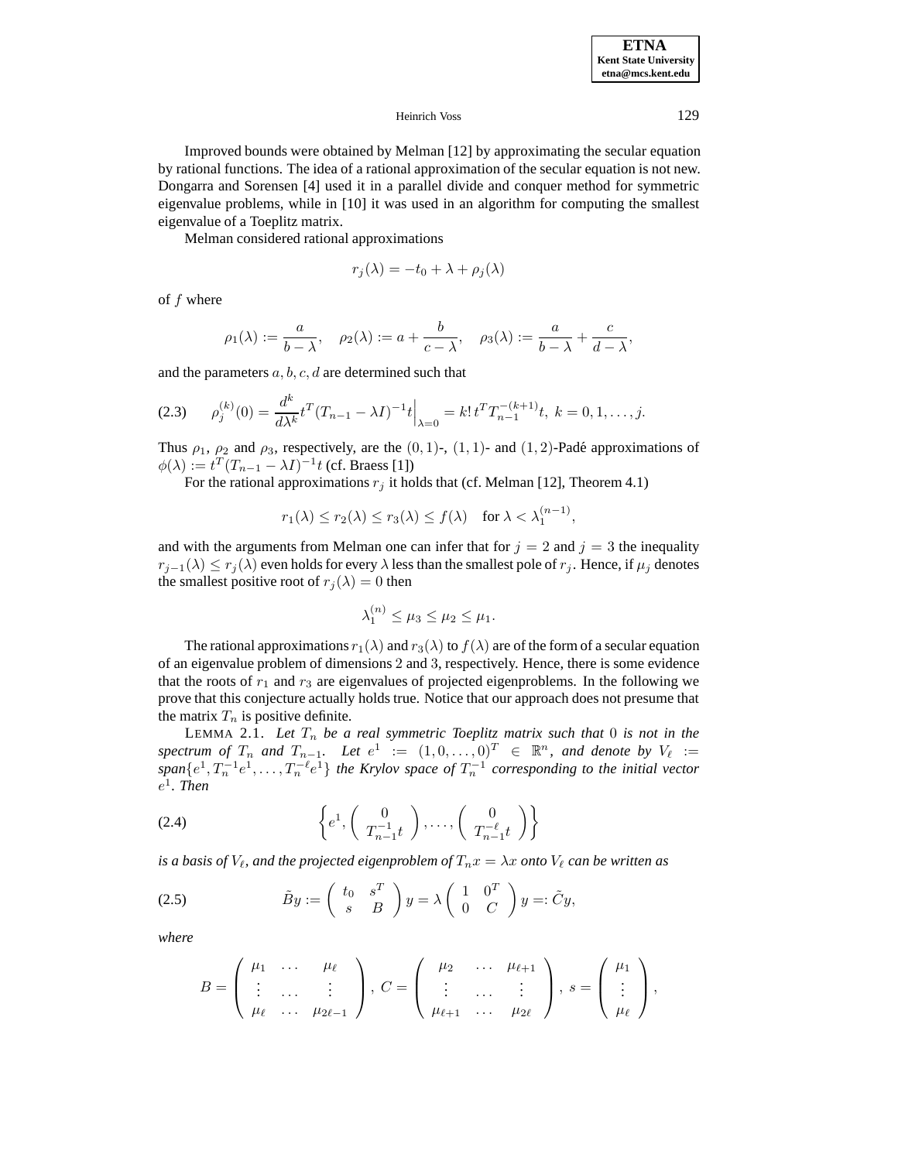Improved bounds were obtained by Melman [12] by approximating the secular equation by rational functions. The idea of a rational approximation of the secular equation is not new. Dongarra and Sorensen [4] used it in a parallel divide and conquer method for symmetric eigenvalue problems, while in [10] it was used in an algorithm for computing the smallest eigenvalue of a Toeplitz matrix.

Melman considered rational approximations

$$
r_j(\lambda) = -t_0 + \lambda + \rho_j(\lambda)
$$

of f where

$$
\rho_1(\lambda) := \frac{a}{b - \lambda}, \quad \rho_2(\lambda) := a + \frac{b}{c - \lambda}, \quad \rho_3(\lambda) := \frac{a}{b - \lambda} + \frac{c}{d - \lambda},
$$

and the parameters  $a, b, c, d$  are determined such that

$$
(2.3) \qquad \rho_j^{(k)}(0) = \frac{d^k}{d\lambda^k} t^T (T_{n-1} - \lambda I)^{-1} t \Big|_{\lambda=0} = k! \, t^T T_{n-1}^{-(k+1)} t, \ k = 0, 1, \dots, j.
$$

Thus  $\rho_1$ ,  $\rho_2$  and  $\rho_3$ , respectively, are the  $(0, 1)$ -,  $(1, 1)$ - and  $(1, 2)$ -Padé approximations of  $\phi(\lambda) := t^T (T_{n-1} - \lambda I)^{-1} t$  (cf. Braess [1])

For the rational approximations  $r_i$  it holds that (cf. Melman [12], Theorem 4.1)

$$
r_1(\lambda) \le r_2(\lambda) \le r_3(\lambda) \le f(\lambda)
$$
 for  $\lambda < \lambda_1^{(n-1)}$ ,

and with the arguments from Melman one can infer that for  $j = 2$  and  $j = 3$  the inequality  $r_{i-1}(\lambda) \leq r_i(\lambda)$  even holds for every  $\lambda$  less than the smallest pole of  $r_i$ . Hence, if  $\mu_i$  denotes the smallest positive root of  $r_i(\lambda)=0$  then

$$
\lambda_1^{(n)} \le \mu_3 \le \mu_2 \le \mu_1.
$$

The rational approximations  $r_1(\lambda)$  and  $r_3(\lambda)$  to  $f(\lambda)$  are of the form of a secular equation of an eigenvalue problem of dimensions 2 and 3, respectively. Hence, there is some evidence that the roots of  $r_1$  and  $r_3$  are eigenvalues of projected eigenproblems. In the following we prove that this conjecture actually holds true. Notice that our approach does not presume that the matrix  $T_n$  is positive definite.

LEMMA 2.1. Let  $T_n$  be a real symmetric Toeplitz matrix such that 0 is not in the<br>trum of  $T$  and  $T$  and  $T$  and  $e^1$   $:=$   $(1 \ 0 \ 0)^T \in \mathbb{R}^n$  and denote by  $V_e$   $:=$ spectrum of  $T_n$  and  $T_{n-1}$ . Let  $e^1 := (1, 0, \ldots, 0)^T \in \mathbb{R}^n$ , and denote by  $V_\ell := span\{e^1, T_n^{-1}e^1, \ldots, T_n^{-\ell}e^1\}$  the Krylov space of  $T_n^{-1}$  corresponding to the initial vector e<sup>1</sup>*. Then*

$$
(2.4) \qquad \left\{ e^1, \left( \begin{array}{c} 0 \\ T_{n-1}^{-1}t \end{array} \right), \dots, \left( \begin{array}{c} 0 \\ T_{n-1}^{-\ell}t \end{array} \right) \right\}
$$

*is a basis of*  $V_\ell$ *, and the projected eigenproblem of*  $T_n x = \lambda x$  *onto*  $V_\ell$  *can be written as* 

(2.5) 
$$
\tilde{B}y := \begin{pmatrix} t_0 & s^T \\ s & B \end{pmatrix} y = \lambda \begin{pmatrix} 1 & 0^T \\ 0 & C \end{pmatrix} y =: \tilde{C}y,
$$

*where*

$$
B=\left(\begin{array}{ccc} \mu_1 & \ldots & \mu_\ell \\ \vdots & \ldots & \vdots \\ \mu_\ell & \ldots & \mu_{2\ell-1} \end{array}\right),\ C=\left(\begin{array}{ccc} \mu_2 & \ldots & \mu_{\ell+1} \\ \vdots & \ldots & \vdots \\ \mu_{\ell+1} & \ldots & \mu_{2\ell} \end{array}\right),\ s=\left(\begin{array}{c} \mu_1 \\ \vdots \\ \mu_\ell \end{array}\right),
$$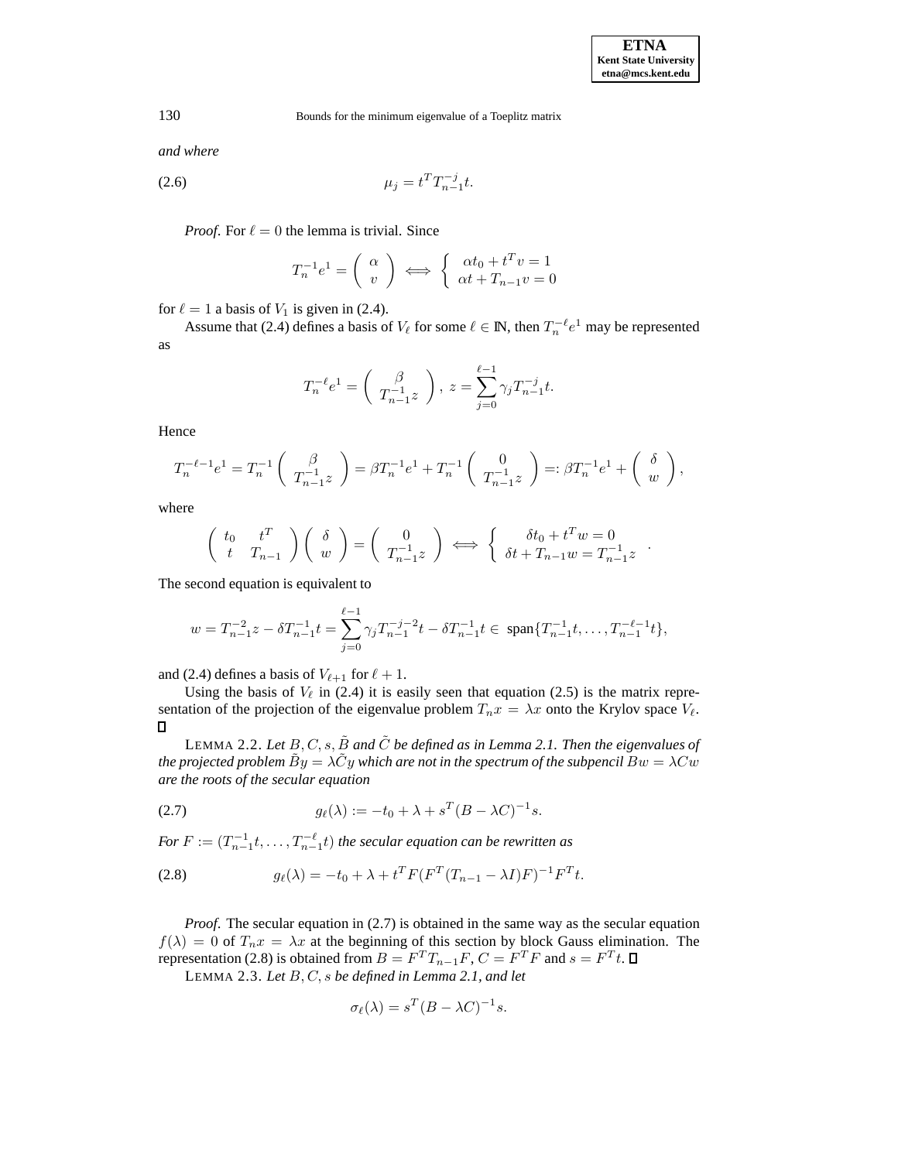*and where*

(2.6) 
$$
\mu_j = t^T T_{n-1}^{-j} t.
$$

*Proof.* For  $\ell = 0$  the lemma is trivial. Since

$$
T_n^{-1}e^1 = \left(\begin{array}{c} \alpha \\ v \end{array}\right) \iff \left\{\begin{array}{c} \alpha t_0 + t^T v = 1 \\ \alpha t + T_{n-1} v = 0 \end{array}\right.
$$

for  $\ell = 1$  a basis of  $V_1$  is given in (2.4).

Assume that (2.4) defines a basis of  $V_\ell$  for some  $\ell \in \mathbb{N}$ , then  $T_n^{-\ell} e^1$  may be represented as

$$
T_n^{-\ell}e^1 = \begin{pmatrix} \beta \\ T_{n-1}^{-1}z \end{pmatrix}, \ z = \sum_{j=0}^{\ell-1} \gamma_j T_{n-1}^{-j}t.
$$

Hence

$$
T_n^{-\ell-1}e^1 = T_n^{-1}\left(\begin{array}{c} \beta \\ T_{n-1}^{-1}z \end{array}\right) = \beta T_n^{-1}e^1 + T_n^{-1}\left(\begin{array}{c} 0 \\ T_{n-1}^{-1}z \end{array}\right) =: \beta T_n^{-1}e^1 + \left(\begin{array}{c} \delta \\ w \end{array}\right),
$$

where

$$
\begin{pmatrix} t_0 & t^T \\ t & T_{n-1} \end{pmatrix} \begin{pmatrix} \delta \\ w \end{pmatrix} = \begin{pmatrix} 0 \\ T_{n-1}^{-1}z \end{pmatrix} \iff \begin{cases} \delta t_0 + t^T w = 0 \\ \delta t + T_{n-1} w = T_{n-1}^{-1} z \end{cases}.
$$

The second equation is equivalent to

$$
w = T_{n-1}^{-2}z - \delta T_{n-1}^{-1}t = \sum_{j=0}^{\ell-1} \gamma_j T_{n-1}^{-j-2}t - \delta T_{n-1}^{-1}t \in \text{ span}\{T_{n-1}^{-1}t, \dots, T_{n-1}^{-\ell-1}t\},
$$

and (2.4) defines a basis of  $V_{\ell+1}$  for  $\ell + 1$ .

Using the basis of  $V_\ell$  in (2.4) it is easily seen that equation (2.5) is the matrix representation of the projection of the eigenvalue problem  $T_n x = \lambda x$  onto the Krylov space  $V_\ell$ .

LEMMA 2.2. Let  $B, C, s, \tilde{B}$  and  $\tilde{C}$  be defined as in Lemma 2.1. Then the eigenvalues of *the projected problem*  $\dot{B}y = \lambda \dot{C}y$  *which are not in the spectrum of the subpencil*  $Bw = \lambda Cw$ *are the roots of the secular equation*

(2.7) 
$$
g_{\ell}(\lambda) := -t_0 + \lambda + s^T (B - \lambda C)^{-1} s.
$$

*For*  $F := (T_{n-1}^{-1}t, \ldots, T_{n-1}^{-\ell}t)$  *the secular equation can be rewritten as* 

(2.8) 
$$
g_{\ell}(\lambda) = -t_0 + \lambda + t^T F(F^T(T_{n-1} - \lambda I)F)^{-1} F^T t.
$$

*Proof.* The secular equation in (2.7) is obtained in the same way as the secular equation  $f(\lambda)=0$  of  $T_nx = \lambda x$  at the beginning of this section by block Gauss elimination. The representation (2.8) is obtained from  $B = F^T T_{n-1} F$ ,  $C = F^T F$  and  $s = F^T t$ .  $\Box$ 

LEMMA 2.3. *Let* B, C, s *be defined in Lemma 2.1, and let*

$$
\sigma_{\ell}(\lambda) = s^T (B - \lambda C)^{-1} s.
$$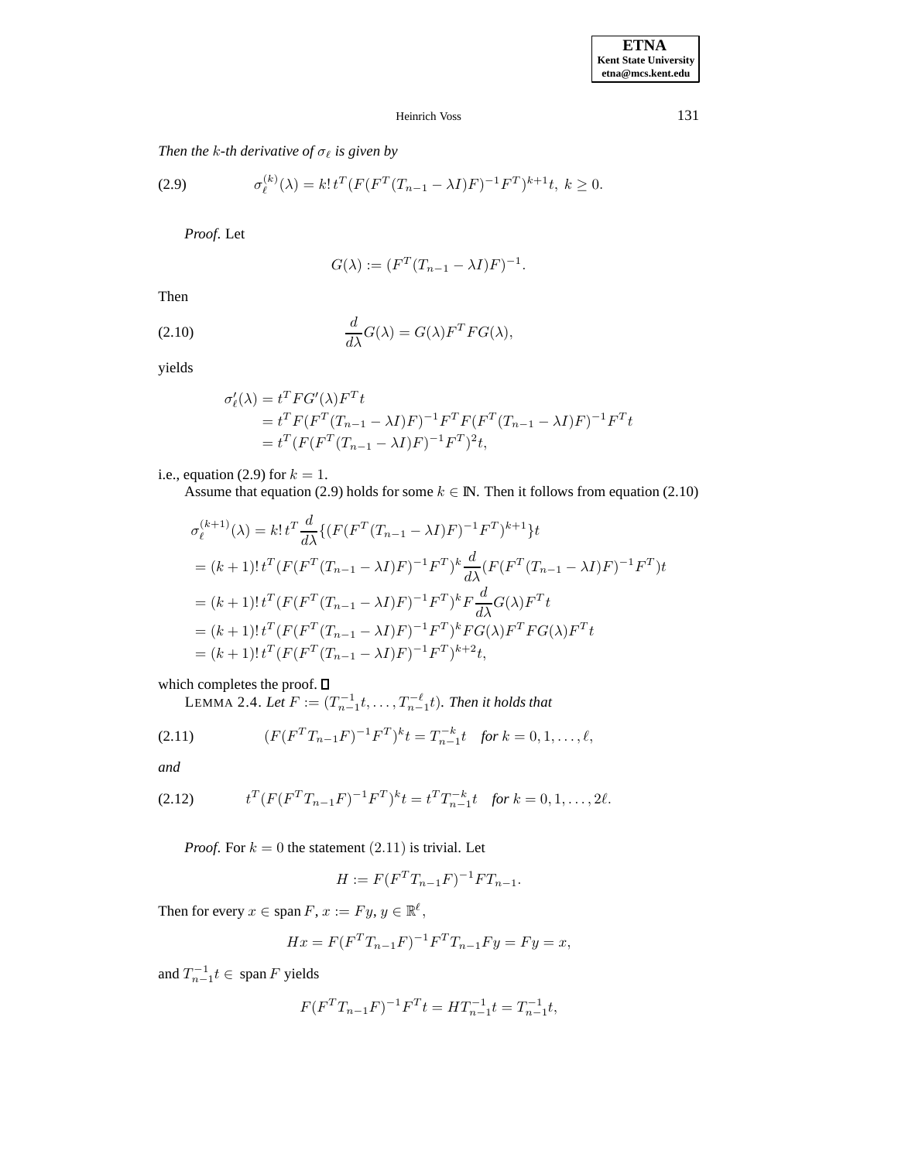# *Then the k-th derivative of*  $\sigma_{\ell}$  *is given by*

(2.9) 
$$
\sigma_{\ell}^{(k)}(\lambda) = k! t^T (F(F^T(T_{n-1} - \lambda I)F)^{-1} F^T)^{k+1} t, \ k \ge 0.
$$

*Proof*. Let

$$
G(\lambda) := (F^T (T_{n-1} - \lambda I) F)^{-1}.
$$

Then

(2.10) 
$$
\frac{d}{d\lambda}G(\lambda) = G(\lambda)F^{T}FG(\lambda),
$$

yields

$$
\sigma'_{\ell}(\lambda) = t^T F G'(\lambda) F^T t \n= t^T F (F^T (T_{n-1} - \lambda I) F)^{-1} F^T F (F^T (T_{n-1} - \lambda I) F)^{-1} F^T t \n= t^T (F (F^T (T_{n-1} - \lambda I) F)^{-1} F^T)^2 t,
$$

i.e., equation (2.9) for  $k = 1$ .

Assume that equation (2.9) holds for some  $k \in \mathbb{N}$ . Then it follows from equation (2.10)

$$
\sigma_{\ell}^{(k+1)}(\lambda) = k! \, t^T \frac{d}{d\lambda} \{ (F(F^T(T_{n-1} - \lambda I)F)^{-1} F^T)^{k+1} \} t
$$
\n
$$
= (k+1)! \, t^T (F(F^T(T_{n-1} - \lambda I)F)^{-1} F^T)^k \frac{d}{d\lambda} (F(F^T(T_{n-1} - \lambda I)F)^{-1} F^T) t
$$
\n
$$
= (k+1)! \, t^T (F(F^T(T_{n-1} - \lambda I)F)^{-1} F^T)^k F \frac{d}{d\lambda} G(\lambda) F^T t
$$
\n
$$
= (k+1)! \, t^T (F(F^T(T_{n-1} - \lambda I)F)^{-1} F^T)^k F G(\lambda) F^T F G(\lambda) F^T t
$$
\n
$$
= (k+1)! \, t^T (F(F^T(T_{n-1} - \lambda I)F)^{-1} F^T)^{k+2} t,
$$

which completes the proof.

LEMMA 2.4. *Let*  $F := (T_{n-1}^{-1}t, \ldots, T_{n-1}^{-\ell}t)$ *. Then it holds that* 

(2.11) 
$$
(F(F^TT_{n-1}F)^{-1}F^T)^k t = T_{n-1}^{-k}t \text{ for } k = 0, 1, ..., \ell,
$$

*and*

(2.12) 
$$
t^T (F (F^T T_{n-1} F)^{-1} F^T)^k t = t^T T_{n-1}^{-k} t \text{ for } k = 0, 1, ..., 2\ell.
$$

*Proof.* For  $k = 0$  the statement  $(2.11)$  is trivial. Let

$$
H := F(F^T T_{n-1} F)^{-1} F T_{n-1}.
$$

Then for every  $x \in \text{span } F, x := Fy, y \in \mathbb{R}^{\ell}$ ,

$$
Hx = F(F^{T}T_{n-1}F)^{-1}F^{T}T_{n-1}Fy = Fy = x,
$$

and  $T_{n-1}^{-1}t \in \text{span } F$  yields

$$
F(F^T T_{n-1} F)^{-1} F^T t = H T_{n-1}^{-1} t = T_{n-1}^{-1} t,
$$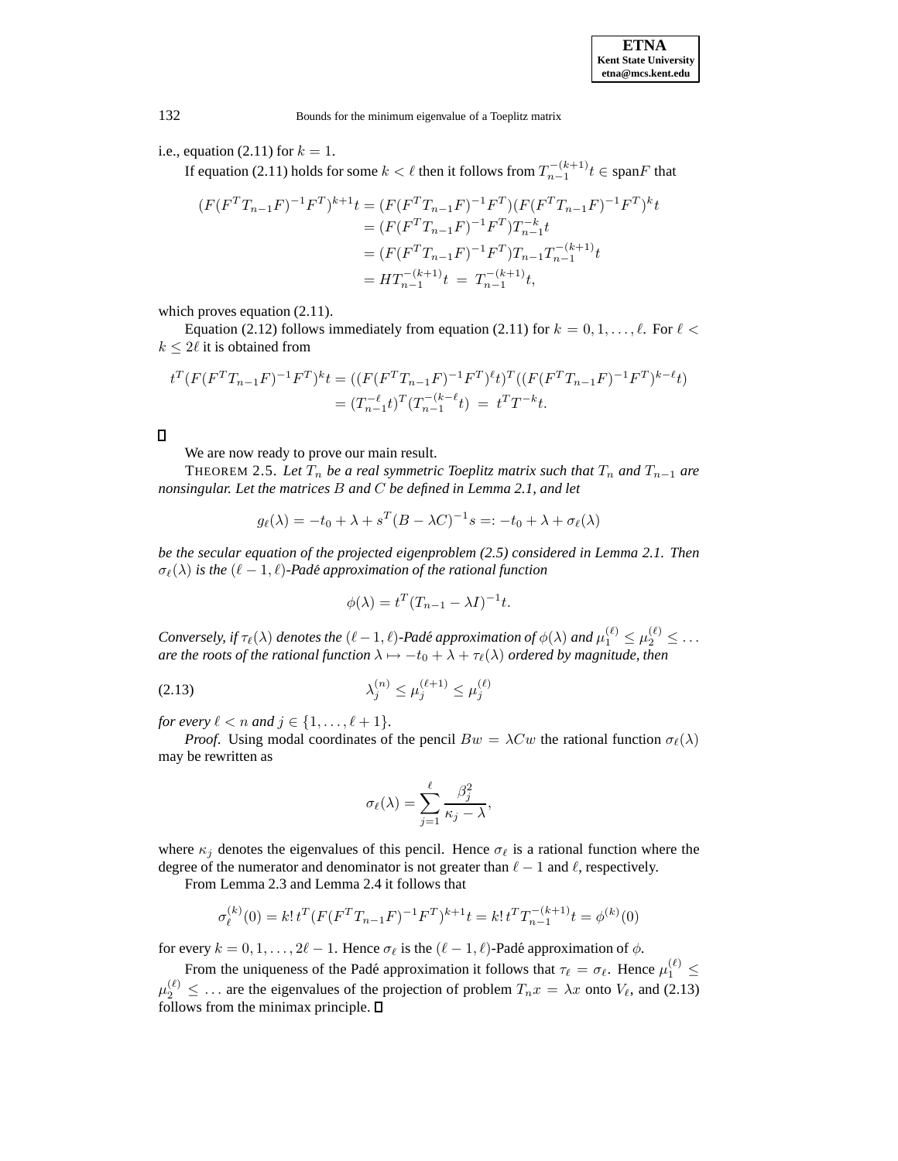# i.e., equation (2.11) for  $k = 1$ .

If equation (2.11) holds for some  $k < \ell$  then it follows from  $T_{n-1}^{-(k+1)} t \in \text{span}F$  that

$$
(F(F^TT_{n-1}F)^{-1}F^T)^{k+1}t = (F(F^TT_{n-1}F)^{-1}F^T)(F(F^TT_{n-1}F)^{-1}F^T)^{k}t
$$
  

$$
= (F(F^TT_{n-1}F)^{-1}F^T)T_{n-1}^{-k}t
$$
  

$$
= (F(F^TT_{n-1}F)^{-1}F^T)T_{n-1}T_{n-1}^{-(k+1)}t
$$
  

$$
= HT_{n-1}^{-(k+1)}t = T_{n-1}^{-(k+1)}t,
$$

which proves equation (2.11).

Equation (2.12) follows immediately from equation (2.11) for  $k = 0, 1, \ldots, \ell$ . For  $\ell <$  $k \leq 2\ell$  it is obtained from

$$
t^T (F(F^T T_{n-1} F)^{-1} F^T)^k t = ((F(F^T T_{n-1} F)^{-1} F^T)^{\ell} t)^T ((F(F^T T_{n-1} F)^{-1} F^T)^{k-\ell} t)
$$
  
= 
$$
(T_{n-1}^{-\ell} t)^T (T_{n-1}^{-(k-\ell)} t) = t^T T^{-k} t.
$$

We are now ready to prove our main result.

THEOREM 2.5. Let  $T_n$  be a real symmetric Toeplitz matrix such that  $T_n$  and  $T_{n-1}$  are *nonsingular. Let the matrices* B *and* C *be defined in Lemma 2.1, and let*

$$
g_{\ell}(\lambda) = -t_0 + \lambda + s^T (B - \lambda C)^{-1} s =: -t_0 + \lambda + \sigma_{\ell}(\lambda)
$$

*be the secular equation of the projected eigenproblem (2.5) considered in Lemma 2.1. Then*  $\sigma_{\ell}(\lambda)$  *is the*  $(\ell - 1, \ell)$ *-Padé approximation of the rational function* 

$$
\phi(\lambda) = t^T (T_{n-1} - \lambda I)^{-1} t.
$$

*Conversely, if*  $\tau_{\ell}(\lambda)$  *denotes the*  $(\ell - 1, \ell)$ *-Padé approximation of*  $\phi(\lambda)$  *and*  $\mu_1^{(\ell)} \leq \mu_2^{(\ell)} \leq \ldots$ <br>*are the roots of the rational function*  $\lambda \mapsto -t_2 + \lambda + \tau_2(\lambda)$  *ordered by magnitude then are the roots of the rational function*  $\lambda \mapsto -t_0 + \lambda + \tau_\ell(\lambda)$  *ordered by magnitude, then* 

$$
\lambda_j^{(n)} \le \mu_j^{(\ell+1)} \le \mu_j^{(\ell)}
$$

*for every*  $\ell < n$  *and*  $j \in \{1, ..., \ell + 1\}$ *.* 

*Proof.* Using modal coordinates of the pencil  $Bw = \lambda Cw$  the rational function  $\sigma_{\ell}(\lambda)$ may be rewritten as

$$
\sigma_{\ell}(\lambda) = \sum_{j=1}^{\ell} \frac{\beta_j^2}{\kappa_j - \lambda},
$$

where  $\kappa_j$  denotes the eigenvalues of this pencil. Hence  $\sigma_\ell$  is a rational function where the degree of the numerator and denominator is not greater than  $\ell - 1$  and  $\ell$ , respectively.

From Lemma 2.3 and Lemma 2.4 it follows that

$$
\sigma_{\ell}^{(k)}(0) = k! \, t^T (F (F^T T_{n-1} F)^{-1} F^T)^{k+1} t = k! \, t^T T_{n-1}^{-(k+1)} t = \phi^{(k)}(0)
$$

for every  $k = 0, 1, \ldots, 2\ell - 1$ . Hence  $\sigma_{\ell}$  is the  $(\ell - 1, \ell)$ -Padé approximation of  $\phi$ .

From the uniqueness of the Padé approximation it follows that  $\tau_{\ell} = \sigma_{\ell}$ . Hence  $\mu_1^{(\ell)} \le$  $\mu_2^{(\ell)} \leq \ldots$  are the eigenvalues of the projection of problem  $T_n x = \lambda x$  onto  $V_\ell$ , and (2.13) follows from the minimax principle  $\Box$ follows from the minimax principle.  $\square$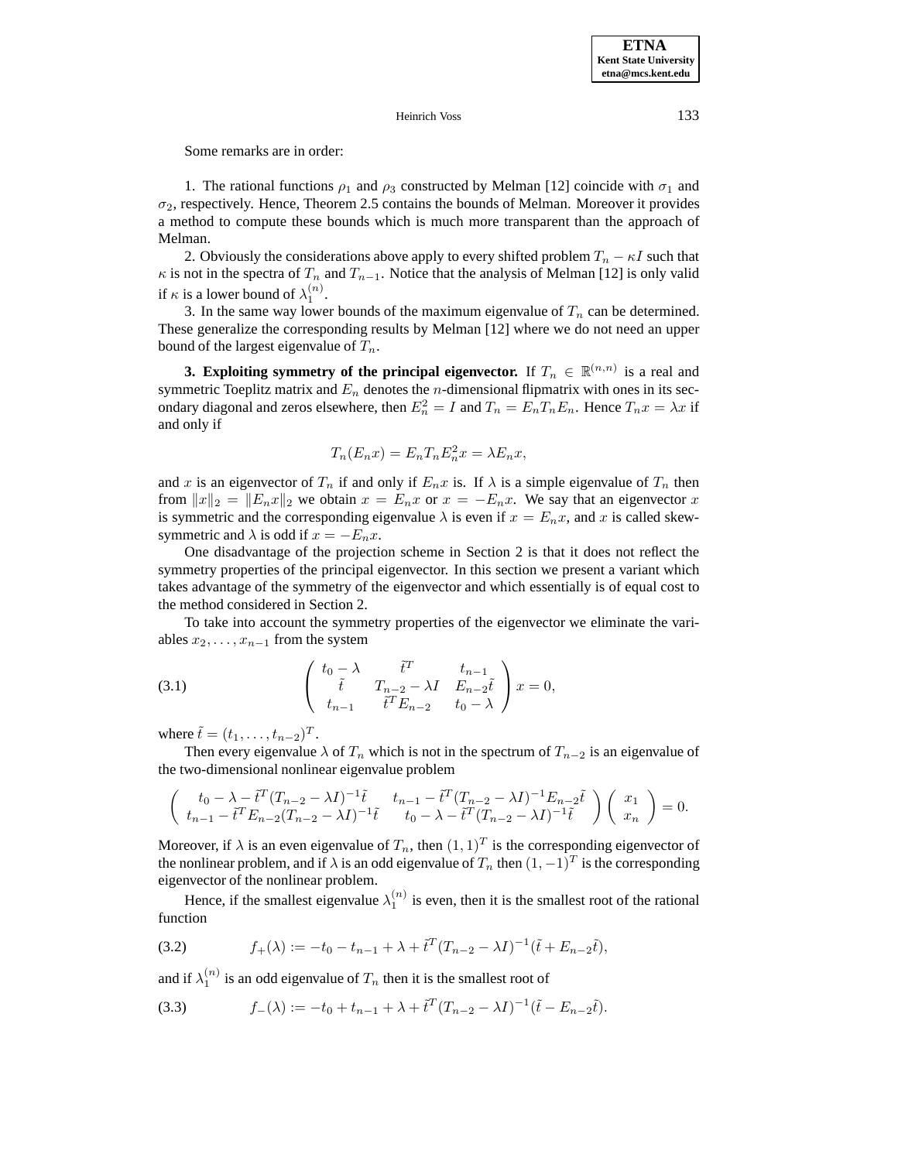Some remarks are in order:

1. The rational functions  $\rho_1$  and  $\rho_3$  constructed by Melman [12] coincide with  $\sigma_1$  and  $\sigma_2$ , respectively. Hence, Theorem 2.5 contains the bounds of Melman. Moreover it provides a method to compute these bounds which is much more transparent than the approach of Melman.

2. Obviously the considerations above apply to every shifted problem  $T_n - \kappa I$  such that  $\kappa$  is not in the spectra of  $T_n$  and  $T_{n-1}$ . Notice that the analysis of Melman [12] is only valid if  $\kappa$  is a lower bound of  $\lambda_1^{(n)}$ .

3. In the same way lower bounds of the maximum eigenvalue of  $T_n$  can be determined. These generalize the corresponding results by Melman [12] where we do not need an upper bound of the largest eigenvalue of  $T_n$ .

**3. Exploiting symmetry of the principal eigenvector.** If  $T_n \in \mathbb{R}^{(n,n)}$  is a real and symmetric Toeplitz matrix and  $E_n$  denotes the *n*-dimensional flipmatrix with ones in its secondary diagonal and zeros elsewhere, then  $E_n^2 = I$  and  $T_n = E_n T_n E_n$ . Hence  $T_n x = \lambda x$  if and only if

$$
T_n(E_n x) = E_n T_n E_n^2 x = \lambda E_n x,
$$

and x is an eigenvector of  $T_n$  if and only if  $E_n x$  is. If  $\lambda$  is a simple eigenvalue of  $T_n$  then from  $||x||_2 = ||E_n x||_2$  we obtain  $x = E_n x$  or  $x = -E_n x$ . We say that an eigenvector x is symmetric and the corresponding eigenvalue  $\lambda$  is even if  $x = E_n x$ , and x is called skewsymmetric and  $\lambda$  is odd if  $x = -E_n x$ .

One disadvantage of the projection scheme in Section 2 is that it does not reflect the symmetry properties of the principal eigenvector. In this section we present a variant which takes advantage of the symmetry of the eigenvector and which essentially is of equal cost to the method considered in Section 2.

To take into account the symmetry properties of the eigenvector we eliminate the variables  $x_2, \ldots, x_{n-1}$  from the system

(3.1) 
$$
\begin{pmatrix} t_0 - \lambda & \tilde{t}^T & t_{n-1} \\ \tilde{t} & T_{n-2} - \lambda I & E_{n-2}\tilde{t} \\ t_{n-1} & \tilde{t}^T E_{n-2} & t_0 - \lambda \end{pmatrix} x = 0,
$$

where  $\tilde{t} = (t_1, \ldots, t_{n-2})^T$ .<br>Then every eigenvalue

Then every eigenvalue  $\lambda$  of  $T_n$  which is not in the spectrum of  $T_{n-2}$  is an eigenvalue of the two-dimensional nonlinear eigenvalue problem

$$
\begin{pmatrix} t_0 - \lambda - \tilde{t}^T (T_{n-2} - \lambda I)^{-1} \tilde{t} & t_{n-1} - \tilde{t}^T (T_{n-2} - \lambda I)^{-1} E_{n-2} \tilde{t} \\ t_{n-1} - \tilde{t}^T E_{n-2} (T_{n-2} - \lambda I)^{-1} \tilde{t} & t_0 - \lambda - \tilde{t}^T (T_{n-2} - \lambda I)^{-1} \tilde{t} \end{pmatrix} \begin{pmatrix} x_1 \\ x_n \end{pmatrix} = 0.
$$

Moreover, if  $\lambda$  is an even eigenvalue of  $T_n$ , then  $(1, 1)^T$  is the corresponding eigenvector of the nonlinear problem, and if  $\lambda$  is an odd eigenvalue of  $T_n$  then  $(1, -1)^T$  is the corresponding eigenvector of the nonlinear problem.

Hence, if the smallest eigenvalue  $\lambda_1^{(n)}$  is even, then it is the smallest root of the rational function

(3.2) 
$$
f_{+}(\lambda) := -t_{0} - t_{n-1} + \lambda + \tilde{t}^{T} (T_{n-2} - \lambda I)^{-1} (\tilde{t} + E_{n-2} \tilde{t}),
$$

and if  $\lambda_1^{(n)}$  is an odd eigenvalue of  $T_n$  then it is the smallest root of

(3.3) 
$$
f_{-}(\lambda) := -t_0 + t_{n-1} + \lambda + \tilde{t}^{T} (T_{n-2} - \lambda I)^{-1} (\tilde{t} - E_{n-2} \tilde{t}).
$$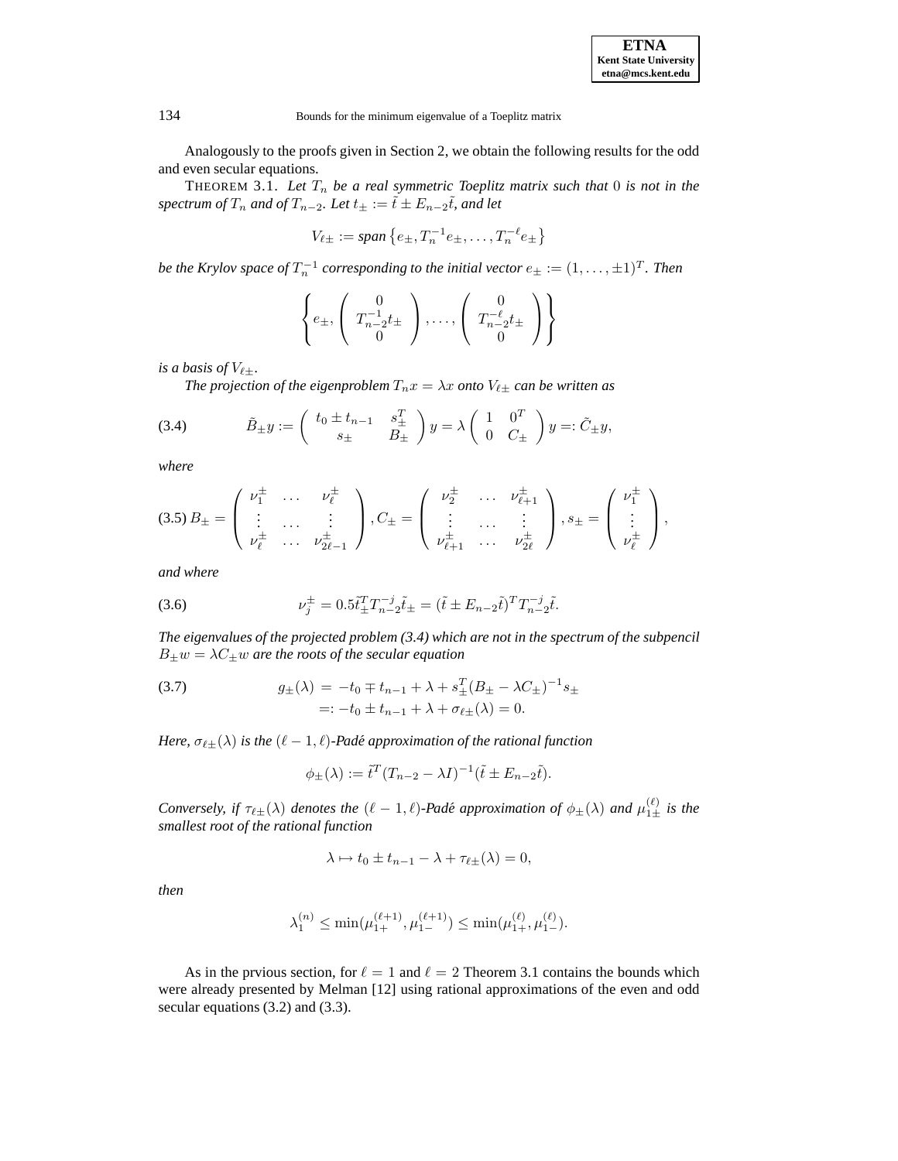| <b>ETNA</b>                  |  |  |  |
|------------------------------|--|--|--|
| <b>Kent State University</b> |  |  |  |
| etna@mcs.kent.edu            |  |  |  |

Analogously to the proofs given in Section 2, we obtain the following results for the odd and even secular equations.

THEOREM 3.1. Let  $T_n$  be a real symmetric Toeplitz matrix such that  $0$  is not in the  $spectrum of T_n$  and of  $T_{n-2}$ . Let  $t_{\pm} := \tilde{t} \pm E_{n-2}\tilde{t}$ , and let

$$
V_{\ell\pm} := span\{e_{\pm}, T_n^{-1}e_{\pm}, \dots, T_n^{-\ell}e_{\pm}\}
$$

*be the Krylov space of*  $T_n^{-1}$  *corresponding to the initial vector*  $e_{\pm} := (1, \ldots, \pm 1)^T$ *. Then* 

$$
\left\{ e_{\pm}, \left( \begin{array}{c} 0 \\ T_{n-2}^{-1}t_{\pm} \\ 0 \end{array} \right), \ldots, \left( \begin{array}{c} 0 \\ T_{n-2}^{-\ell}t_{\pm} \\ 0 \end{array} \right) \right\}
$$

*is a basis of*  $V_{\ell\pm}$ *.* 

*The projection of the eigenproblem*  $T_n x = \lambda x$  *onto*  $V_{\ell \pm}$  *can be written as* 

(3.4) 
$$
\tilde{B}_{\pm}y := \begin{pmatrix} t_0 \pm t_{n-1} & s_{\pm}^T \\ s_{\pm} & B_{\pm} \end{pmatrix} y = \lambda \begin{pmatrix} 1 & 0^T \\ 0 & C_{\pm} \end{pmatrix} y =: \tilde{C}_{\pm}y,
$$

*where*

$$
(3.5) B_{\pm} = \begin{pmatrix} \nu_{1}^{\pm} & \cdots & \nu_{\ell}^{\pm} \\ \vdots & \cdots & \vdots \\ \nu_{\ell}^{\pm} & \cdots & \nu_{2\ell-1}^{\pm} \end{pmatrix}, C_{\pm} = \begin{pmatrix} \nu_{2}^{\pm} & \cdots & \nu_{\ell+1}^{\pm} \\ \vdots & \cdots & \vdots \\ \nu_{\ell+1}^{\pm} & \cdots & \nu_{2\ell}^{\pm} \end{pmatrix}, s_{\pm} = \begin{pmatrix} \nu_{1}^{\pm} \\ \vdots \\ \nu_{\ell}^{\pm} \end{pmatrix},
$$

*and where*

(3.6) 
$$
\nu_j^{\pm} = 0.5 \tilde{t}_{\pm}^T T_{n-2}^{-j} \tilde{t}_{\pm} = (\tilde{t} \pm E_{n-2} \tilde{t})^T T_{n-2}^{-j} \tilde{t}.
$$

*The eigenvalues of the projected problem (3.4) which are not in the spectrum of the subpencil*  $B_{\pm}w = \lambda C_{\pm}w$  are the roots of the secular equation

(3.7) 
$$
g_{\pm}(\lambda) = -t_0 \mp t_{n-1} + \lambda + s_{\pm}^T (B_{\pm} - \lambda C_{\pm})^{-1} s_{\pm}
$$

$$
=: -t_0 \pm t_{n-1} + \lambda + \sigma_{\ell \pm}(\lambda) = 0.
$$

*Here,*  $\sigma_{\ell \pm}(\lambda)$  *is the*  $(\ell - 1, \ell)$ *-Padé approximation of the rational function* 

$$
\phi_{\pm}(\lambda) := \tilde{t}^T (T_{n-2} - \lambda I)^{-1} (\tilde{t} \pm E_{n-2} \tilde{t}).
$$

*Conversely, if*  $\tau_{\ell\pm}(\lambda)$  *denotes the*  $(\ell - 1, \ell)$ *-Padé approximation of*  $\phi_{\pm}(\lambda)$  *and*  $\mu_{1\pm}^{(\ell)}$  *is the smallest root of the rational function smallest root of the rational function*

$$
\lambda \mapsto t_0 \pm t_{n-1} - \lambda + \tau_{\ell \pm}(\lambda) = 0,
$$

*then*

$$
\lambda_1^{(n)} \le \min(\mu_{1+}^{(\ell+1)}, \mu_{1-}^{(\ell+1)}) \le \min(\mu_{1+}^{(\ell)}, \mu_{1-}^{(\ell)}).
$$

As in the prvious section, for  $\ell = 1$  and  $\ell = 2$  Theorem 3.1 contains the bounds which were already presented by Melman [12] using rational approximations of the even and odd secular equations (3.2) and (3.3).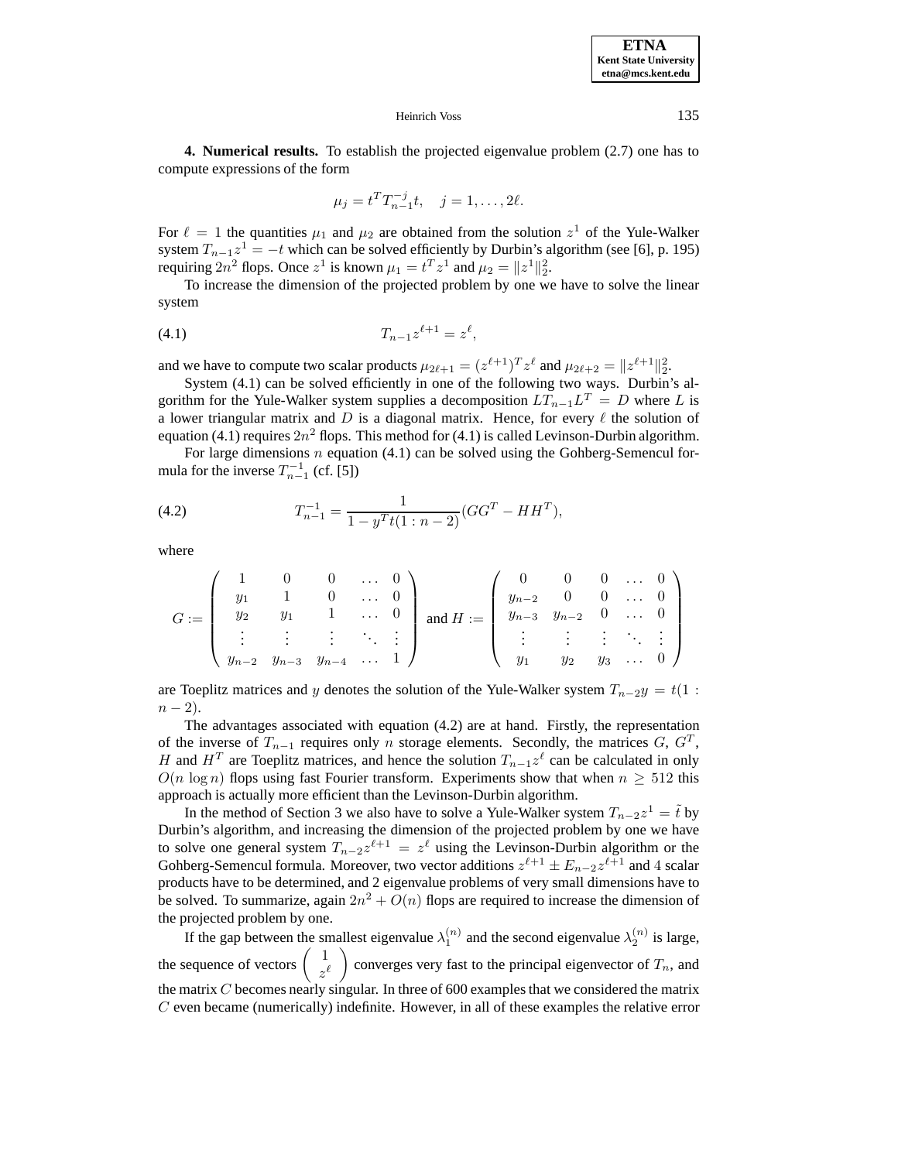**4. Numerical results.** To establish the projected eigenvalue problem (2.7) one has to compute expressions of the form

$$
\mu_j = t^T T_{n-1}^{-j} t, \quad j = 1, \dots, 2\ell.
$$

For  $\ell = 1$  the quantities  $\mu_1$  and  $\mu_2$  are obtained from the solution  $z^1$  of the Yule-Walker system  $T_{n-1}z^1 = -t$  which can be solved efficiently by Durbin's algorithm (see [6], p. 195) requiring  $2n^2$  flops. Once  $z^1$  is known  $\mu_1 = t^T z^1$  and  $\mu_2 = ||z^1||_2^2$ .<br>To increase the dimension of the projected problem by one we

To increase the dimension of the projected problem by one we have to solve the linear system

$$
(4.1) \t\t T_{n-1}z^{\ell+1} = z^{\ell},
$$

and we have to compute two scalar products  $\mu_{2\ell+1} = (z^{\ell+1})^T z^{\ell}$  and  $\mu_{2\ell+2} = ||z^{\ell+1}||_2^2$ .<br>System (4.1) can be solved efficiently in one of the following two ways. Durbini

System (4.1) can be solved efficiently in one of the following two ways. Durbin's algorithm for the Yule-Walker system supplies a decomposition  $LT_{n-1}L^T = D$  where L is a lower triangular matrix and  $D$  is a diagonal matrix. Hence, for every  $\ell$  the solution of equation (4.1) requires  $2n^2$  flops. This method for (4.1) is called Levinson-Durbin algorithm.

For large dimensions  $n$  equation (4.1) can be solved using the Gohberg-Semencul formula for the inverse  $T_{n-1}^{-1}$  (cf. [5])

(4.2) 
$$
T_{n-1}^{-1} = \frac{1}{1 - y^T t (1 : n - 2)} (GG^T - HH^T),
$$

where

$$
G := \left(\begin{array}{cccc} 1 & 0 & 0 & \dots & 0 \\ y_1 & 1 & 0 & \dots & 0 \\ y_2 & y_1 & 1 & \dots & 0 \\ \vdots & \vdots & \vdots & \ddots & \vdots \\ y_{n-2} & y_{n-3} & y_{n-4} & \dots & 1 \end{array}\right) \text{ and } H := \left(\begin{array}{cccc} 0 & 0 & 0 & \dots & 0 \\ y_{n-2} & 0 & 0 & \dots & 0 \\ y_{n-3} & y_{n-2} & 0 & \dots & 0 \\ \vdots & \vdots & \vdots & \ddots & \vdots \\ y_1 & y_2 & y_3 & \dots & 0 \end{array}\right)
$$

are Toeplitz matrices and y denotes the solution of the Yule-Walker system  $T_{n-2}y = t(1 :$  $n - 2$ ).

The advantages associated with equation (4.2) are at hand. Firstly, the representation of the inverse of  $T_{n-1}$  requires only n storage elements. Secondly, the matrices  $G, G^T$ , H and  $H<sup>T</sup>$  are Toeplitz matrices, and hence the solution  $T_{n-1}z^{\ell}$  can be calculated in only  $O(n \log n)$  flops using fast Fourier transform. Experiments show that when  $n > 512$  this approach is actually more efficient than the Levinson-Durbin algorithm.

In the method of Section 3 we also have to solve a Yule-Walker system  $T_{n-2}z^1 = \tilde{t}$  by<br>pin's algorithm, and increasing the dimension of the projected problem by one we have Durbin's algorithm, and increasing the dimension of the projected problem by one we have to solve one general system  $T_{n-2}z^{\ell+1} = z^{\ell}$  using the Levinson-Durbin algorithm or the Gohberg-Semencul formula. Moreover, two vector additions  $z^{\ell+1} \pm E_{n-2}z^{\ell+1}$  and 4 scalar products have to be determined, and 2 eigenvalue problems of very small dimensions have to be solved. To summarize, again  $2n^2 + O(n)$  flops are required to increase the dimension of the projected problem by one.

If the gap between the smallest eigenvalue  $\lambda_1^{(n)}$  and the second eigenvalue  $\lambda_2^{(n)}$  is large, the sequence of vectors  $z^{\ell}$ converges very fast to the principal eigenvector of  $T_n$ , and the matrix  $C$  becomes nearly singular. In three of 600 examples that we considered the matrix  $C$  even became (numerically) indefinite. However, in all of these examples the relative error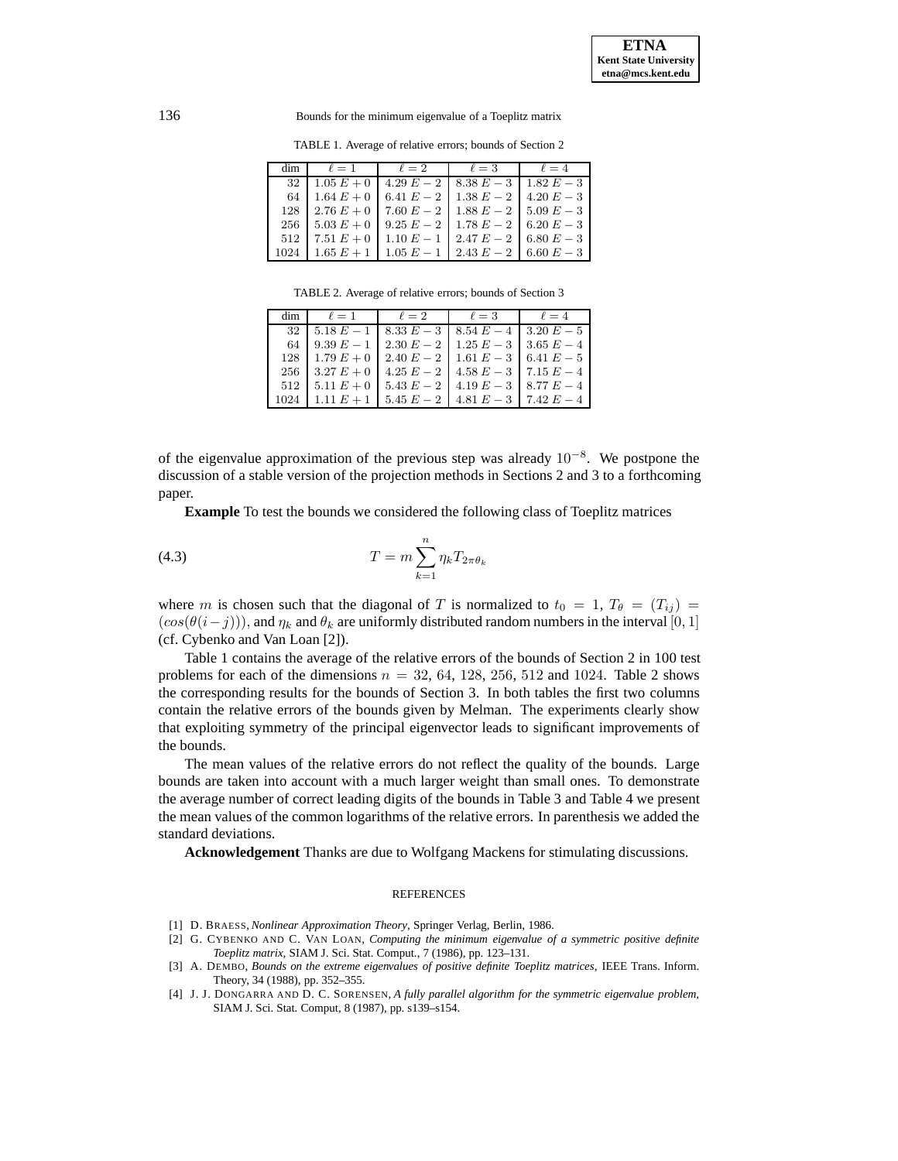TABLE 1. Average of relative errors; bounds of Section 2

| dim  | $\ell = 1$   | $\ell=2$     | $\ell = 3$   | $\ell = 4$   |
|------|--------------|--------------|--------------|--------------|
| 32   | $1.05 E + 0$ | 4.29 $E - 2$ | $8.38 E - 3$ | $1.82 E - 3$ |
| 64   | $1.64 E + 0$ | 6.41 $E - 2$ | $1.38 E - 2$ | $4.20 E - 3$ |
| 128  | $2.76 E + 0$ | 7.60 $E - 2$ | $1.88 E - 2$ | $5.09 E - 3$ |
| 256  | $5.03 E + 0$ | $9.25 E - 2$ | $1.78 E - 2$ | 6.20 $E-3$   |
| 512  | 7.51 $E + 0$ | 1.10 $E - 1$ | $2.47 E - 2$ | $6.80 E - 3$ |
| 1024 | $1.65 E + 1$ | $1.05 E - 1$ | $2.43 E - 2$ | $6.60 E - 3$ |

TABLE 2. Average of relative errors; bounds of Section 3

| dim  | $\ell=1$     | $\ell=2$                                    | $\ell = 3$                                 | $\ell = 4$   |
|------|--------------|---------------------------------------------|--------------------------------------------|--------------|
| 32   | $5.18 E - 1$ | $18.33 E - 3$   $8.54 E - 4$   $3.20 E - 5$ |                                            |              |
| 64   | $9.39 E - 1$ |                                             | $2.30 E - 2$   $1.25 E - 3$   $3.65 E - 4$ |              |
| 128  | $1.79 E + 0$ |                                             | $2.40 E - 2$   1.61 $E - 3$   6.41 $E - 5$ |              |
| 256  | $3.27 E + 0$ |                                             | $4.25 E - 2$   $4.58 E - 3$   $7.15 E - 4$ |              |
| 512  | $5.11 E + 0$ | 5.43 $E - 2$                                | 4.19 $E-3$   8.77 $E-4$                    |              |
| 1024 | 1.11 $E + 1$ | 5.45 $E - 2$ 1                              | $4.81 E - 3$                               | 7.42 $E - 4$ |

of the eigenvalue approximation of the previous step was already  $10^{-8}$ . We postpone the discussion of a stable version of the projection methods in Sections 2 and 3 to a forthcoming paper.

**Example** To test the bounds we considered the following class of Toeplitz matrices

$$
(4.3) \t\t T = m \sum_{k=1}^{n} \eta_k T_{2\pi \theta_k}
$$

where m is chosen such that the diagonal of T is normalized to  $t_0 = 1$ ,  $T_{\theta} = (T_{ij})$  $(cos(\theta(i-j)))$ , and  $\eta_k$  and  $\theta_k$  are uniformly distributed random numbers in the interval [0, 1] (cf. Cybenko and Van Loan [2]).

Table 1 contains the average of the relative errors of the bounds of Section 2 in 100 test problems for each of the dimensions  $n = 32, 64, 128, 256, 512$  and 1024. Table 2 shows the corresponding results for the bounds of Section 3. In both tables the first two columns contain the relative errors of the bounds given by Melman. The experiments clearly show that exploiting symmetry of the principal eigenvector leads to significant improvements of the bounds.

The mean values of the relative errors do not reflect the quality of the bounds. Large bounds are taken into account with a much larger weight than small ones. To demonstrate the average number of correct leading digits of the bounds in Table 3 and Table 4 we present the mean values of the common logarithms of the relative errors. In parenthesis we added the standard deviations.

**Acknowledgement** Thanks are due to Wolfgang Mackens for stimulating discussions.

#### REFERENCES

- [1] D. BRAESS, *Nonlinear Approximation Theory*, Springer Verlag, Berlin, 1986.
- [2] G. CYBENKO AND C. VAN LOAN, *Computing the minimum eigenvalue of a symmetric positive definite Toeplitz matrix*, SIAM J. Sci. Stat. Comput., 7 (1986), pp. 123–131.
- [3] A. DEMBO, *Bounds on the extreme eigenvalues of positive definite Toeplitz matrices*, IEEE Trans. Inform. Theory, 34 (1988), pp. 352–355.
- [4] J. J. DONGARRA AND D. C. SORENSEN, *A fully parallel algorithm for the symmetric eigenvalue problem*, SIAM J. Sci. Stat. Comput, 8 (1987), pp. s139–s154.